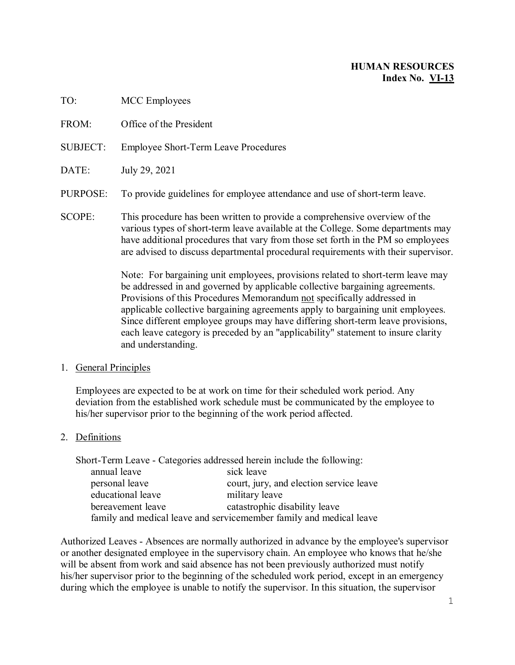# **HUMAN RESOURCES Index No. VI-13**

| 1 V.          | <b>IVICE EMPIO YELD</b>                                                                                                                                    |
|---------------|------------------------------------------------------------------------------------------------------------------------------------------------------------|
| FROM:         | Office of the President                                                                                                                                    |
| SUBJECT:      | <b>Employee Short-Term Leave Procedures</b>                                                                                                                |
| DATE:         | July 29, 2021                                                                                                                                              |
| PURPOSE:      | To provide guidelines for employee attendance and use of short-term leave.                                                                                 |
| <b>SCOPE:</b> | This procedure has been written to provide a comprehensive overview of the<br>various types of short-term leave available at the College. Some departments |

rious types of short-term leave available at the College. Some departments may have additional procedures that vary from those set forth in the PM so employees are advised to discuss departmental procedural requirements with their supervisor.

> Note: For bargaining unit employees, provisions related to short-term leave may be addressed in and governed by applicable collective bargaining agreements. Provisions of this Procedures Memorandum not specifically addressed in applicable collective bargaining agreements apply to bargaining unit employees. Since different employee groups may have differing short-term leave provisions, each leave category is preceded by an "applicability" statement to insure clarity and understanding.

#### 1. General Principles

TO: MCC Employees

Employees are expected to be at work on time for their scheduled work period. Any deviation from the established work schedule must be communicated by the employee to his/her supervisor prior to the beginning of the work period affected.

# 2. Definitions

| Short-Term Leave - Categories addressed herein include the following: |                                                                     |
|-----------------------------------------------------------------------|---------------------------------------------------------------------|
| annual leave                                                          | sick leave                                                          |
| personal leave                                                        | court, jury, and election service leave                             |
| educational leave                                                     | military leave                                                      |
| bereavement leave                                                     | catastrophic disability leave                                       |
|                                                                       | family and medical leave and servicemember family and medical leave |

Authorized Leaves - Absences are normally authorized in advance by the employee's supervisor or another designated employee in the supervisory chain. An employee who knows that he/she will be absent from work and said absence has not been previously authorized must notify his/her supervisor prior to the beginning of the scheduled work period, except in an emergency during which the employee is unable to notify the supervisor. In this situation, the supervisor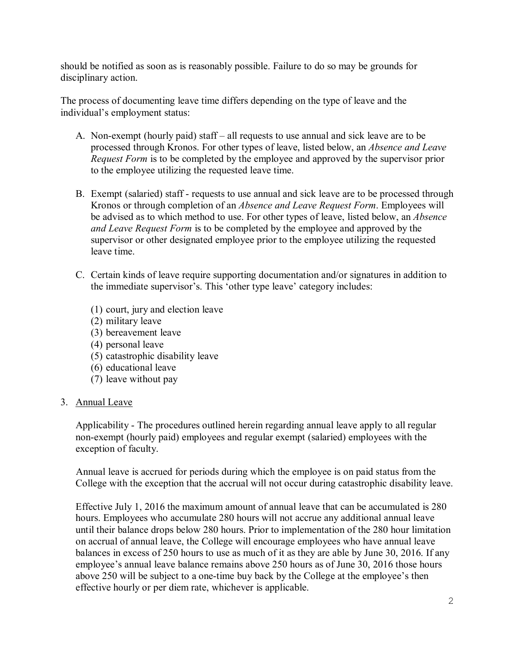should be notified as soon as is reasonably possible. Failure to do so may be grounds for disciplinary action.

The process of documenting leave time differs depending on the type of leave and the individual's employment status:

- A. Non-exempt (hourly paid) staff all requests to use annual and sick leave are to be processed through Kronos. For other types of leave, listed below, an *Absence and Leave Request Form* is to be completed by the employee and approved by the supervisor prior to the employee utilizing the requested leave time.
- B. Exempt (salaried) staff requests to use annual and sick leave are to be processed through Kronos or through completion of an *Absence and Leave Request Form*. Employees will be advised as to which method to use. For other types of leave, listed below, an *Absence and Leave Request Form* is to be completed by the employee and approved by the supervisor or other designated employee prior to the employee utilizing the requested leave time.
- C. Certain kinds of leave require supporting documentation and/or signatures in addition to the immediate supervisor's. This 'other type leave' category includes:
	- (1) court, jury and election leave
	- (2) military leave
	- (3) bereavement leave
	- (4) personal leave
	- (5) catastrophic disability leave
	- (6) educational leave
	- (7) leave without pay

#### 3. Annual Leave

Applicability - The procedures outlined herein regarding annual leave apply to all regular non-exempt (hourly paid) employees and regular exempt (salaried) employees with the exception of faculty.

Annual leave is accrued for periods during which the employee is on paid status from the College with the exception that the accrual will not occur during catastrophic disability leave.

Effective July 1, 2016 the maximum amount of annual leave that can be accumulated is 280 hours. Employees who accumulate 280 hours will not accrue any additional annual leave until their balance drops below 280 hours. Prior to implementation of the 280 hour limitation on accrual of annual leave, the College will encourage employees who have annual leave balances in excess of 250 hours to use as much of it as they are able by June 30, 2016. If any employee's annual leave balance remains above 250 hours as of June 30, 2016 those hours above 250 will be subject to a one-time buy back by the College at the employee's then effective hourly or per diem rate, whichever is applicable.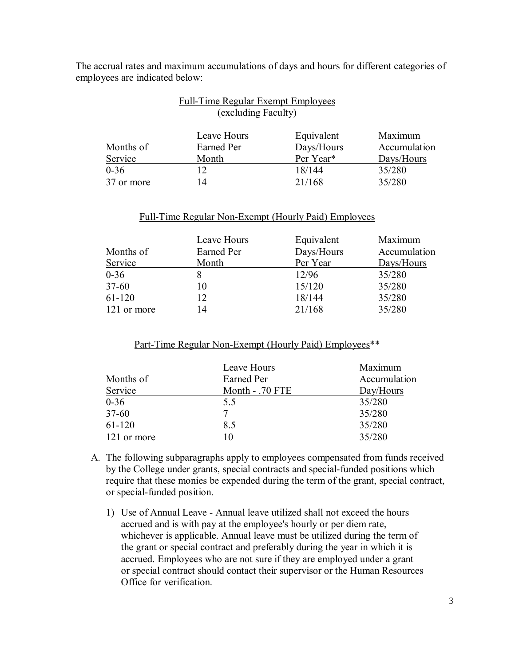The accrual rates and maximum accumulations of days and hours for different categories of employees are indicated below:

Full-Time Regular Exempt Employees

|            | I all Thine Regards Exempt Employees<br>(excluding Faculty) |            |              |
|------------|-------------------------------------------------------------|------------|--------------|
|            | Leave Hours                                                 | Equivalent | Maximum      |
| Months of  | Earned Per                                                  | Days/Hours | Accumulation |
| Service    | Month                                                       | Per Year*  | Days/Hours   |
| $0 - 36$   | 12                                                          | 18/144     | 35/280       |
| 37 or more | 14                                                          | 21/168     | 35/280       |

#### Full-Time Regular Non-Exempt (Hourly Paid) Employees

|             | Leave Hours | Equivalent | Maximum      |
|-------------|-------------|------------|--------------|
| Months of   | Earned Per  | Days/Hours | Accumulation |
| Service     | Month       | Per Year   | Days/Hours   |
| $0 - 36$    |             | 12/96      | 35/280       |
| $37 - 60$   | 10          | 15/120     | 35/280       |
| $61-120$    | 12          | 18/144     | 35/280       |
| 121 or more | 14          | 21/168     | 35/280       |

#### Part-Time Regular Non-Exempt (Hourly Paid) Employees\*\*

|             | Leave Hours     | Maximum      |
|-------------|-----------------|--------------|
| Months of   | Earned Per      | Accumulation |
| Service     | Month - .70 FTE | Day/Hours    |
| $0 - 36$    | 5.5             | 35/280       |
| $37 - 60$   | 7               | 35/280       |
| 61-120      | 8.5             | 35/280       |
| 121 or more | 10              | 35/280       |

- A. The following subparagraphs apply to employees compensated from funds received by the College under grants, special contracts and special-funded positions which require that these monies be expended during the term of the grant, special contract, or special-funded position.
	- 1) Use of Annual Leave Annual leave utilized shall not exceed the hours accrued and is with pay at the employee's hourly or per diem rate, whichever is applicable. Annual leave must be utilized during the term of the grant or special contract and preferably during the year in which it is accrued. Employees who are not sure if they are employed under a grant or special contract should contact their supervisor or the Human Resources Office for verification.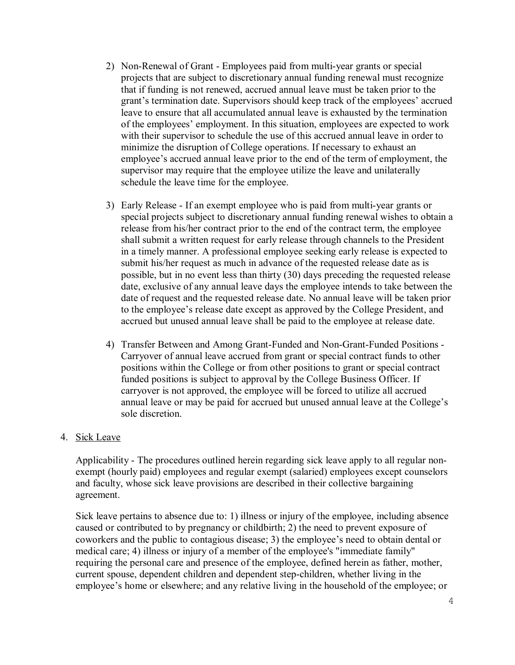- 2) Non-Renewal of Grant Employees paid from multi-year grants or special projects that are subject to discretionary annual funding renewal must recognize that if funding is not renewed, accrued annual leave must be taken prior to the grant's termination date. Supervisors should keep track of the employees' accrued leave to ensure that all accumulated annual leave is exhausted by the termination of the employees' employment. In this situation, employees are expected to work with their supervisor to schedule the use of this accrued annual leave in order to minimize the disruption of College operations. If necessary to exhaust an employee's accrued annual leave prior to the end of the term of employment, the supervisor may require that the employee utilize the leave and unilaterally schedule the leave time for the employee.
- 3) Early Release If an exempt employee who is paid from multi-year grants or special projects subject to discretionary annual funding renewal wishes to obtain a release from his/her contract prior to the end of the contract term, the employee shall submit a written request for early release through channels to the President in a timely manner. A professional employee seeking early release is expected to submit his/her request as much in advance of the requested release date as is possible, but in no event less than thirty (30) days preceding the requested release date, exclusive of any annual leave days the employee intends to take between the date of request and the requested release date. No annual leave will be taken prior to the employee's release date except as approved by the College President, and accrued but unused annual leave shall be paid to the employee at release date.
- 4) Transfer Between and Among Grant-Funded and Non-Grant-Funded Positions Carryover of annual leave accrued from grant or special contract funds to other positions within the College or from other positions to grant or special contract funded positions is subject to approval by the College Business Officer. If carryover is not approved, the employee will be forced to utilize all accrued annual leave or may be paid for accrued but unused annual leave at the College's sole discretion.

#### 4. Sick Leave

Applicability - The procedures outlined herein regarding sick leave apply to all regular nonexempt (hourly paid) employees and regular exempt (salaried) employees except counselors and faculty, whose sick leave provisions are described in their collective bargaining agreement.

Sick leave pertains to absence due to: 1) illness or injury of the employee, including absence caused or contributed to by pregnancy or childbirth; 2) the need to prevent exposure of coworkers and the public to contagious disease; 3) the employee's need to obtain dental or medical care; 4) illness or injury of a member of the employee's "immediate family" requiring the personal care and presence of the employee, defined herein as father, mother, current spouse, dependent children and dependent step-children, whether living in the employee's home or elsewhere; and any relative living in the household of the employee; or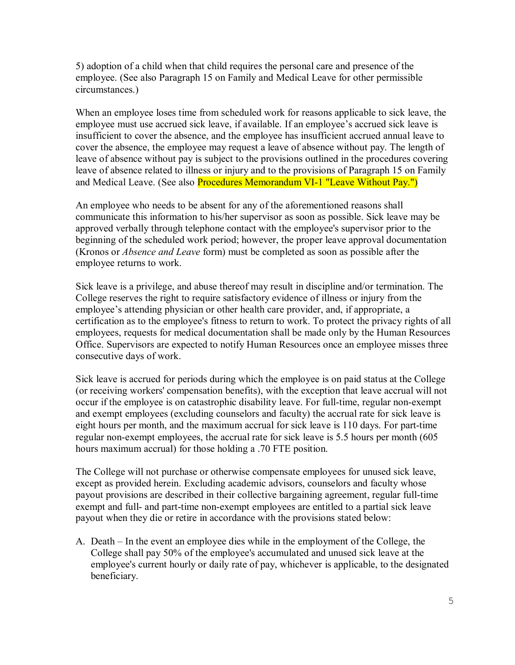5) adoption of a child when that child requires the personal care and presence of the employee. (See also Paragraph 15 on Family and Medical Leave for other permissible circumstances.)

When an employee loses time from scheduled work for reasons applicable to sick leave, the employee must use accrued sick leave, if available. If an employee's accrued sick leave is insufficient to cover the absence, and the employee has insufficient accrued annual leave to cover the absence, the employee may request a leave of absence without pay. The length of leave of absence without pay is subject to the provisions outlined in the procedures covering leave of absence related to illness or injury and to the provisions of Paragraph 15 on Family and Medical Leave. (See also Procedures Memorandum VI-1 "Leave Without Pay.")

An employee who needs to be absent for any of the aforementioned reasons shall communicate this information to his/her supervisor as soon as possible. Sick leave may be approved verbally through telephone contact with the employee's supervisor prior to the beginning of the scheduled work period; however, the proper leave approval documentation (Kronos or *Absence and Leave* form) must be completed as soon as possible after the employee returns to work.

Sick leave is a privilege, and abuse thereof may result in discipline and/or termination. The College reserves the right to require satisfactory evidence of illness or injury from the employee's attending physician or other health care provider, and, if appropriate, a certification as to the employee's fitness to return to work. To protect the privacy rights of all employees, requests for medical documentation shall be made only by the Human Resources Office. Supervisors are expected to notify Human Resources once an employee misses three consecutive days of work.

Sick leave is accrued for periods during which the employee is on paid status at the College (or receiving workers' compensation benefits), with the exception that leave accrual will not occur if the employee is on catastrophic disability leave. For full-time, regular non-exempt and exempt employees (excluding counselors and faculty) the accrual rate for sick leave is eight hours per month, and the maximum accrual for sick leave is 110 days. For part-time regular non-exempt employees, the accrual rate for sick leave is 5.5 hours per month (605 hours maximum accrual) for those holding a .70 FTE position.

The College will not purchase or otherwise compensate employees for unused sick leave, except as provided herein. Excluding academic advisors, counselors and faculty whose payout provisions are described in their collective bargaining agreement, regular full-time exempt and full- and part-time non-exempt employees are entitled to a partial sick leave payout when they die or retire in accordance with the provisions stated below:

A. Death – In the event an employee dies while in the employment of the College, the College shall pay 50% of the employee's accumulated and unused sick leave at the employee's current hourly or daily rate of pay, whichever is applicable, to the designated beneficiary.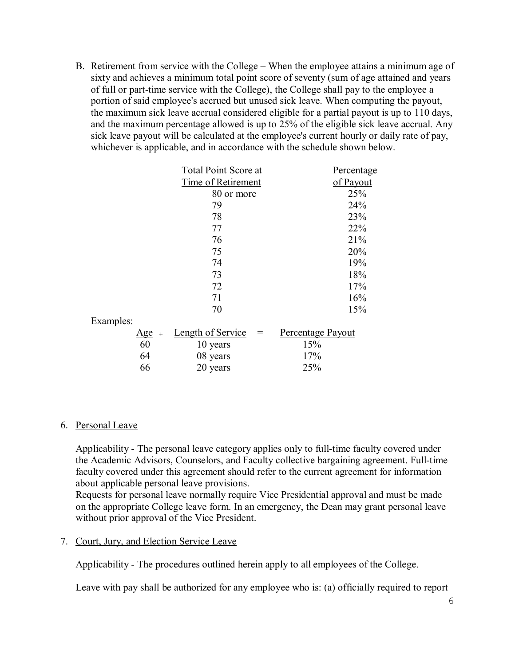B. Retirement from service with the College – When the employee attains a minimum age of sixty and achieves a minimum total point score of seventy (sum of age attained and years of full or part-time service with the College), the College shall pay to the employee a portion of said employee's accrued but unused sick leave. When computing the payout, the maximum sick leave accrual considered eligible for a partial payout is up to 110 days, and the maximum percentage allowed is up to 25% of the eligible sick leave accrual. Any sick leave payout will be calculated at the employee's current hourly or daily rate of pay, whichever is applicable, and in accordance with the schedule shown below.

|           |         | <b>Total Point Score at</b> |                          | Percentage |
|-----------|---------|-----------------------------|--------------------------|------------|
|           |         | Time of Retirement          |                          | of Payout  |
|           |         | 80 or more                  |                          | 25%        |
|           |         | 79                          |                          | 24%        |
|           |         | 78                          |                          | 23%        |
|           |         | 77                          |                          | 22%        |
|           |         | 76                          |                          | 21%        |
|           |         | 75                          |                          | 20%        |
|           |         | 74                          |                          | 19%        |
|           |         | 73                          |                          | 18%        |
|           |         | 72                          |                          | 17%        |
|           |         | 71                          |                          | 16%        |
|           |         | 70                          |                          | 15%        |
| Examples: |         |                             |                          |            |
|           | $Age +$ | <b>Length of Service</b>    | Percentage Payout<br>$=$ |            |
|           | 60      | 10 years                    | 15%                      |            |
|           | 64      | 08 years                    | 17%                      |            |
|           | 66      | 20 years                    | 25%                      |            |
|           |         |                             |                          |            |

# 6. Personal Leave

Applicability - The personal leave category applies only to full-time faculty covered under the Academic Advisors, Counselors, and Faculty collective bargaining agreement. Full-time faculty covered under this agreement should refer to the current agreement for information about applicable personal leave provisions.

Requests for personal leave normally require Vice Presidential approval and must be made on the appropriate College leave form. In an emergency, the Dean may grant personal leave without prior approval of the Vice President.

# 7. Court, Jury, and Election Service Leave

Applicability - The procedures outlined herein apply to all employees of the College.

Leave with pay shall be authorized for any employee who is: (a) officially required to report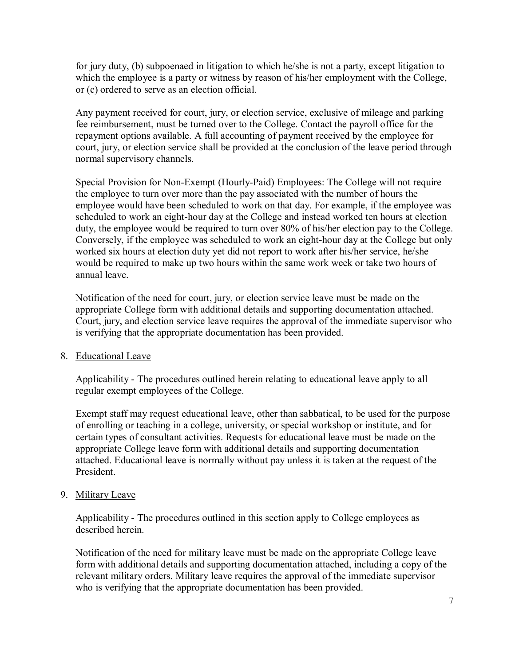for jury duty, (b) subpoenaed in litigation to which he/she is not a party, except litigation to which the employee is a party or witness by reason of his/her employment with the College, or (c) ordered to serve as an election official.

Any payment received for court, jury, or election service, exclusive of mileage and parking fee reimbursement, must be turned over to the College. Contact the payroll office for the repayment options available. A full accounting of payment received by the employee for court, jury, or election service shall be provided at the conclusion of the leave period through normal supervisory channels.

Special Provision for Non-Exempt (Hourly-Paid) Employees: The College will not require the employee to turn over more than the pay associated with the number of hours the employee would have been scheduled to work on that day. For example, if the employee was scheduled to work an eight-hour day at the College and instead worked ten hours at election duty, the employee would be required to turn over 80% of his/her election pay to the College. Conversely, if the employee was scheduled to work an eight-hour day at the College but only worked six hours at election duty yet did not report to work after his/her service, he/she would be required to make up two hours within the same work week or take two hours of annual leave.

Notification of the need for court, jury, or election service leave must be made on the appropriate College form with additional details and supporting documentation attached. Court, jury, and election service leave requires the approval of the immediate supervisor who is verifying that the appropriate documentation has been provided.

#### 8. Educational Leave

Applicability - The procedures outlined herein relating to educational leave apply to all regular exempt employees of the College.

Exempt staff may request educational leave, other than sabbatical, to be used for the purpose of enrolling or teaching in a college, university, or special workshop or institute, and for certain types of consultant activities. Requests for educational leave must be made on the appropriate College leave form with additional details and supporting documentation attached. Educational leave is normally without pay unless it is taken at the request of the President.

# 9. Military Leave

Applicability - The procedures outlined in this section apply to College employees as described herein.

Notification of the need for military leave must be made on the appropriate College leave form with additional details and supporting documentation attached, including a copy of the relevant military orders. Military leave requires the approval of the immediate supervisor who is verifying that the appropriate documentation has been provided.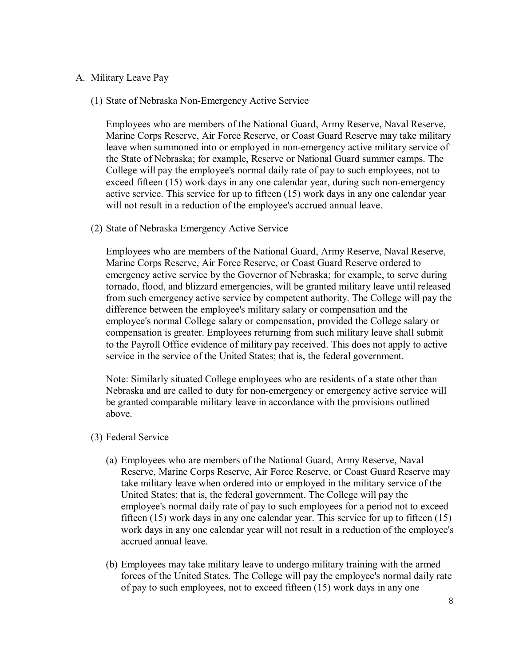#### A. Military Leave Pay

(1) State of Nebraska Non-Emergency Active Service

Employees who are members of the National Guard, Army Reserve, Naval Reserve, Marine Corps Reserve, Air Force Reserve, or Coast Guard Reserve may take military leave when summoned into or employed in non-emergency active military service of the State of Nebraska; for example, Reserve or National Guard summer camps. The College will pay the employee's normal daily rate of pay to such employees, not to exceed fifteen (15) work days in any one calendar year, during such non-emergency active service. This service for up to fifteen (15) work days in any one calendar year will not result in a reduction of the employee's accrued annual leave.

(2) State of Nebraska Emergency Active Service

Employees who are members of the National Guard, Army Reserve, Naval Reserve, Marine Corps Reserve, Air Force Reserve, or Coast Guard Reserve ordered to emergency active service by the Governor of Nebraska; for example, to serve during tornado, flood, and blizzard emergencies, will be granted military leave until released from such emergency active service by competent authority. The College will pay the difference between the employee's military salary or compensation and the employee's normal College salary or compensation, provided the College salary or compensation is greater. Employees returning from such military leave shall submit to the Payroll Office evidence of military pay received. This does not apply to active service in the service of the United States; that is, the federal government.

Note: Similarly situated College employees who are residents of a state other than Nebraska and are called to duty for non-emergency or emergency active service will be granted comparable military leave in accordance with the provisions outlined above.

- (3) Federal Service
	- (a) Employees who are members of the National Guard, Army Reserve, Naval Reserve, Marine Corps Reserve, Air Force Reserve, or Coast Guard Reserve may take military leave when ordered into or employed in the military service of the United States; that is, the federal government. The College will pay the employee's normal daily rate of pay to such employees for a period not to exceed fifteen (15) work days in any one calendar year. This service for up to fifteen (15) work days in any one calendar year will not result in a reduction of the employee's accrued annual leave.
	- (b) Employees may take military leave to undergo military training with the armed forces of the United States. The College will pay the employee's normal daily rate of pay to such employees, not to exceed fifteen (15) work days in any one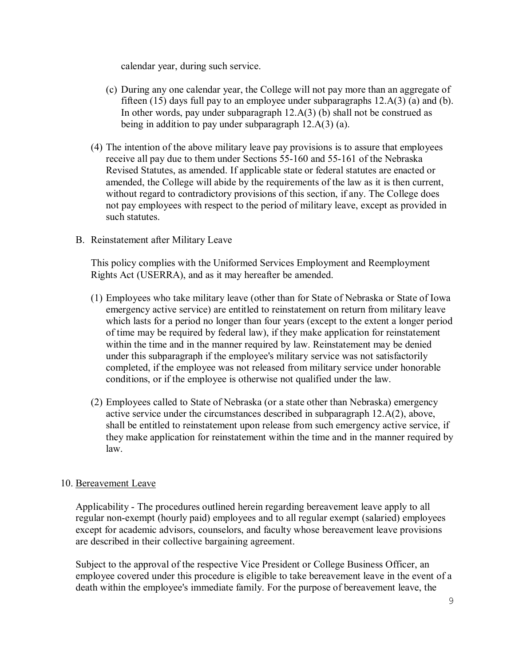calendar year, during such service.

- (c) During any one calendar year, the College will not pay more than an aggregate of fifteen (15) days full pay to an employee under subparagraphs  $12.A(3)$  (a) and (b). In other words, pay under subparagraph 12.A(3) (b) shall not be construed as being in addition to pay under subparagraph 12.A(3) (a).
- (4) The intention of the above military leave pay provisions is to assure that employees receive all pay due to them under Sections 55-160 and 55-161 of the Nebraska Revised Statutes, as amended. If applicable state or federal statutes are enacted or amended, the College will abide by the requirements of the law as it is then current, without regard to contradictory provisions of this section, if any. The College does not pay employees with respect to the period of military leave, except as provided in such statutes.
- B. Reinstatement after Military Leave

This policy complies with the Uniformed Services Employment and Reemployment Rights Act (USERRA), and as it may hereafter be amended.

- (1) Employees who take military leave (other than for State of Nebraska or State of Iowa emergency active service) are entitled to reinstatement on return from military leave which lasts for a period no longer than four years (except to the extent a longer period of time may be required by federal law), if they make application for reinstatement within the time and in the manner required by law. Reinstatement may be denied under this subparagraph if the employee's military service was not satisfactorily completed, if the employee was not released from military service under honorable conditions, or if the employee is otherwise not qualified under the law.
- (2) Employees called to State of Nebraska (or a state other than Nebraska) emergency active service under the circumstances described in subparagraph 12.A(2), above, shall be entitled to reinstatement upon release from such emergency active service, if they make application for reinstatement within the time and in the manner required by law.

#### 10. Bereavement Leave

Applicability - The procedures outlined herein regarding bereavement leave apply to all regular non-exempt (hourly paid) employees and to all regular exempt (salaried) employees except for academic advisors, counselors, and faculty whose bereavement leave provisions are described in their collective bargaining agreement.

Subject to the approval of the respective Vice President or College Business Officer, an employee covered under this procedure is eligible to take bereavement leave in the event of a death within the employee's immediate family. For the purpose of bereavement leave, the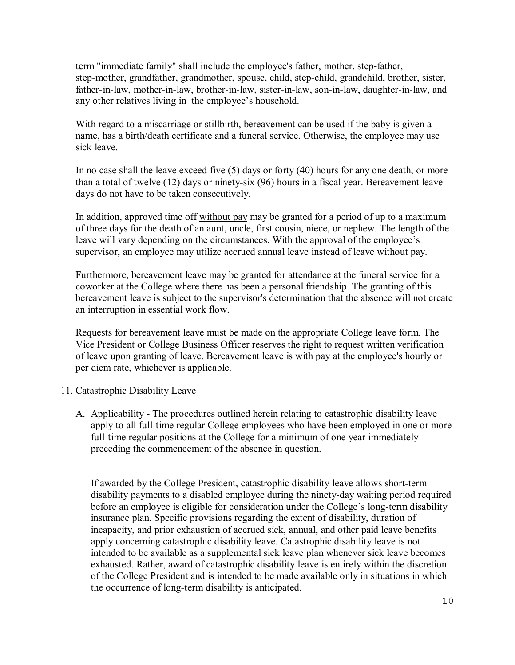term "immediate family" shall include the employee's father, mother, step-father, step-mother, grandfather, grandmother, spouse, child, step-child, grandchild, brother, sister, father-in-law, mother-in-law, brother-in-law, sister-in-law, son-in-law, daughter-in-law, and any other relatives living in the employee's household.

With regard to a miscarriage or stillbirth, bereavement can be used if the baby is given a name, has a birth/death certificate and a funeral service. Otherwise, the employee may use sick leave.

In no case shall the leave exceed five (5) days or forty (40) hours for any one death, or more than a total of twelve (12) days or ninety-six (96) hours in a fiscal year. Bereavement leave days do not have to be taken consecutively.

In addition, approved time off without pay may be granted for a period of up to a maximum of three days for the death of an aunt, uncle, first cousin, niece, or nephew. The length of the leave will vary depending on the circumstances. With the approval of the employee's supervisor, an employee may utilize accrued annual leave instead of leave without pay.

Furthermore, bereavement leave may be granted for attendance at the funeral service for a coworker at the College where there has been a personal friendship. The granting of this bereavement leave is subject to the supervisor's determination that the absence will not create an interruption in essential work flow.

Requests for bereavement leave must be made on the appropriate College leave form. The Vice President or College Business Officer reserves the right to request written verification of leave upon granting of leave. Bereavement leave is with pay at the employee's hourly or per diem rate, whichever is applicable.

# 11. Catastrophic Disability Leave

A. Applicability **-** The procedures outlined herein relating to catastrophic disability leave apply to all full-time regular College employees who have been employed in one or more full-time regular positions at the College for a minimum of one year immediately preceding the commencement of the absence in question.

If awarded by the College President, catastrophic disability leave allows short-term disability payments to a disabled employee during the ninety-day waiting period required before an employee is eligible for consideration under the College's long-term disability insurance plan. Specific provisions regarding the extent of disability, duration of incapacity, and prior exhaustion of accrued sick, annual, and other paid leave benefits apply concerning catastrophic disability leave. Catastrophic disability leave is not intended to be available as a supplemental sick leave plan whenever sick leave becomes exhausted. Rather, award of catastrophic disability leave is entirely within the discretion of the College President and is intended to be made available only in situations in which the occurrence of long-term disability is anticipated.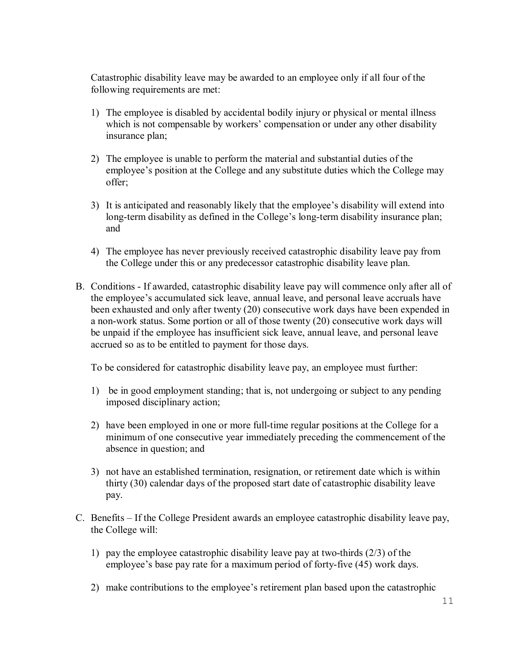Catastrophic disability leave may be awarded to an employee only if all four of the following requirements are met:

- 1) The employee is disabled by accidental bodily injury or physical or mental illness which is not compensable by workers' compensation or under any other disability insurance plan;
- 2) The employee is unable to perform the material and substantial duties of the employee's position at the College and any substitute duties which the College may offer;
- 3) It is anticipated and reasonably likely that the employee's disability will extend into long-term disability as defined in the College's long-term disability insurance plan; and
- 4) The employee has never previously received catastrophic disability leave pay from the College under this or any predecessor catastrophic disability leave plan.
- B. Conditions If awarded, catastrophic disability leave pay will commence only after all of the employee's accumulated sick leave, annual leave, and personal leave accruals have been exhausted and only after twenty (20) consecutive work days have been expended in a non-work status. Some portion or all of those twenty (20) consecutive work days will be unpaid if the employee has insufficient sick leave, annual leave, and personal leave accrued so as to be entitled to payment for those days.

To be considered for catastrophic disability leave pay, an employee must further:

- 1) be in good employment standing; that is, not undergoing or subject to any pending imposed disciplinary action;
- 2) have been employed in one or more full-time regular positions at the College for a minimum of one consecutive year immediately preceding the commencement of the absence in question; and
- 3) not have an established termination, resignation, or retirement date which is within thirty (30) calendar days of the proposed start date of catastrophic disability leave pay.
- C. Benefits If the College President awards an employee catastrophic disability leave pay, the College will:
	- 1) pay the employee catastrophic disability leave pay at two-thirds (2/3) of the employee's base pay rate for a maximum period of forty-five (45) work days.
	- 2) make contributions to the employee's retirement plan based upon the catastrophic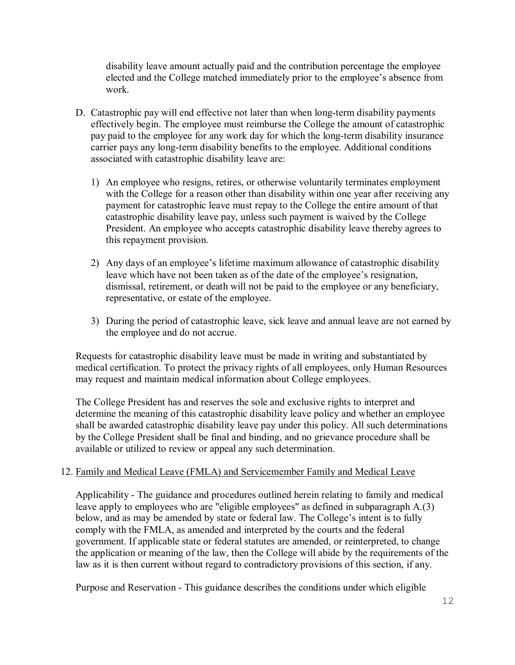disability leave amount actually paid and the contribution percentage the employee elected and the College matched immediately prior to the employee's absence from work.

- D. Catastrophic pay will end effective not later than when long-term disability payments effectively begin. The employee must reimburse the College the amount of catastrophic pay paid to the employee for any work day for which the long-term disability insurance carrier pays any long-term disability benefits to the employee. Additional conditions associated with catastrophic disability leave are:
	- 1) An employee who resigns, retires, or otherwise voluntarily terminates employment with the College for a reason other than disability within one year after receiving any payment for catastrophic leave must repay to the College the entire amount of that catastrophic disability leave pay, unless such payment is waived by the College President. An employee who accepts catastrophic disability leave thereby agrees to this repayment provision.
	- 2) Any days of an employee's lifetime maximum allowance of catastrophic disability leave which have not been taken as of the date of the employee's resignation, dismissal, retirement, or death will not be paid to the employee or any beneficiary, representative, or estate of the employee.
	- 3) During the period of catastrophic leave, sick leave and annual leave are not earned by the employee and do not accrue.

Requests for catastrophic disability leave must be made in writing and substantiated by medical certification. To protect the privacy rights of all employees, only Human Resources may request and maintain medical information about College employees.

The College President has and reserves the sole and exclusive rights to interpret and determine the meaning of this catastrophic disability leave policy and whether an employee shall be awarded catastrophic disability leave pay under this policy. All such determinations by the College President shall be final and binding, and no grievance procedure shall be available or utilized to review or appeal any such determination.

# 12. Family and Medical Leave (FMLA) and Servicemember Family and Medical Leave

Applicability - The guidance and procedures outlined herein relating to family and medical leave apply to employees who are "eligible employees" as defined in subparagraph A.(3) below, and as may be amended by state or federal law. The College's intent is to fully comply with the FMLA, as amended and interpreted by the courts and the federal government. If applicable state or federal statutes are amended, or reinterpreted, to change the application or meaning of the law, then the College will abide by the requirements of the law as it is then current without regard to contradictory provisions of this section, if any.

Purpose and Reservation - This guidance describes the conditions under which eligible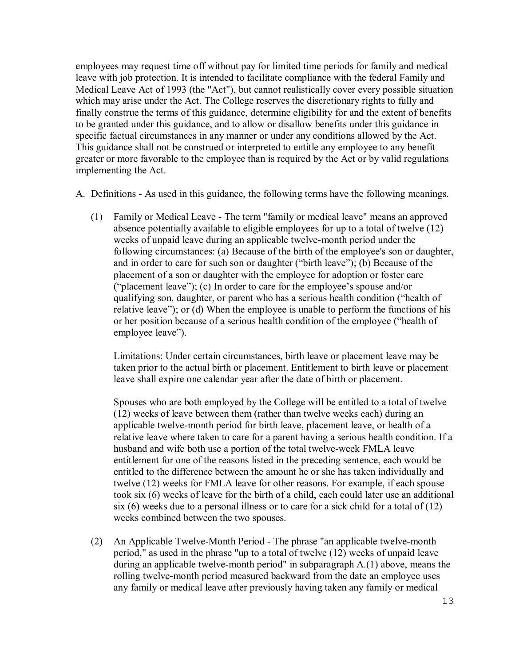employees may request time off without pay for limited time periods for family and medical leave with job protection. It is intended to facilitate compliance with the federal Family and Medical Leave Act of 1993 (the "Act"), but cannot realistically cover every possible situation which may arise under the Act. The College reserves the discretionary rights to fully and finally construe the terms of this guidance, determine eligibility for and the extent of benefits to be granted under this guidance, and to allow or disallow benefits under this guidance in specific factual circumstances in any manner or under any conditions allowed by the Act. This guidance shall not be construed or interpreted to entitle any employee to any benefit greater or more favorable to the employee than is required by the Act or by valid regulations implementing the Act.

A. Definitions - As used in this guidance, the following terms have the following meanings.

(1) Family or Medical Leave - The term "family or medical leave" means an approved absence potentially available to eligible employees for up to a total of twelve (12) weeks of unpaid leave during an applicable twelve-month period under the following circumstances: (a) Because of the birth of the employee's son or daughter, and in order to care for such son or daughter ("birth leave"); (b) Because of the placement of a son or daughter with the employee for adoption or foster care ("placement leave"); (c) In order to care for the employee's spouse and/or qualifying son, daughter, or parent who has a serious health condition ("health of relative leave"); or (d) When the employee is unable to perform the functions of his or her position because of a serious health condition of the employee ("health of employee leave").

Limitations: Under certain circumstances, birth leave or placement leave may be taken prior to the actual birth or placement. Entitlement to birth leave or placement leave shall expire one calendar year after the date of birth or placement.

Spouses who are both employed by the College will be entitled to a total of twelve (12) weeks of leave between them (rather than twelve weeks each) during an applicable twelve-month period for birth leave, placement leave, or health of a relative leave where taken to care for a parent having a serious health condition. If a husband and wife both use a portion of the total twelve-week FMLA leave entitlement for one of the reasons listed in the preceding sentence, each would be entitled to the difference between the amount he or she has taken individually and twelve (12) weeks for FMLA leave for other reasons. For example, if each spouse took six (6) weeks of leave for the birth of a child, each could later use an additional six  $(6)$  weeks due to a personal illness or to care for a sick child for a total of  $(12)$ weeks combined between the two spouses.

(2) An Applicable Twelve-Month Period - The phrase "an applicable twelve-month period," as used in the phrase "up to a total of twelve (12) weeks of unpaid leave during an applicable twelve-month period" in subparagraph A.(1) above, means the rolling twelve-month period measured backward from the date an employee uses any family or medical leave after previously having taken any family or medical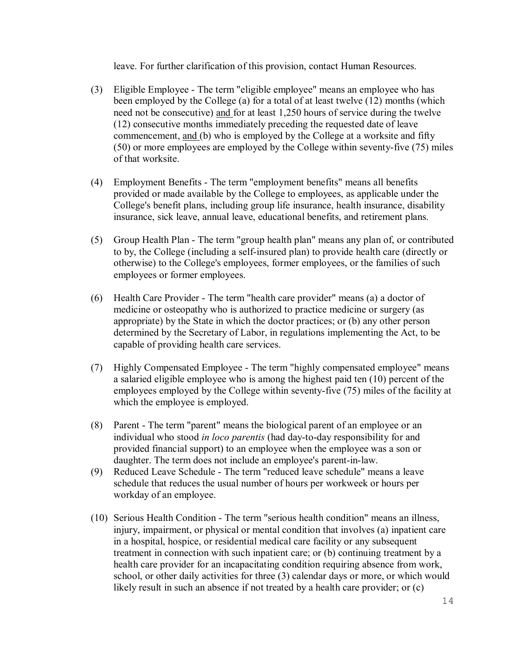leave. For further clarification of this provision, contact Human Resources.

- (3) Eligible Employee The term "eligible employee" means an employee who has been employed by the College (a) for a total of at least twelve (12) months (which need not be consecutive) and for at least 1,250 hours of service during the twelve (12) consecutive months immediately preceding the requested date of leave commencement, and (b) who is employed by the College at a worksite and fifty (50) or more employees are employed by the College within seventy-five (75) miles of that worksite.
- (4) Employment Benefits The term "employment benefits" means all benefits provided or made available by the College to employees, as applicable under the College's benefit plans, including group life insurance, health insurance, disability insurance, sick leave, annual leave, educational benefits, and retirement plans.
- (5) Group Health Plan The term "group health plan" means any plan of, or contributed to by, the College (including a self-insured plan) to provide health care (directly or otherwise) to the College's employees, former employees, or the families of such employees or former employees.
- (6) Health Care Provider The term "health care provider" means (a) a doctor of medicine or osteopathy who is authorized to practice medicine or surgery (as appropriate) by the State in which the doctor practices; or (b) any other person determined by the Secretary of Labor, in regulations implementing the Act, to be capable of providing health care services.
- (7) Highly Compensated Employee The term "highly compensated employee" means a salaried eligible employee who is among the highest paid ten (10) percent of the employees employed by the College within seventy-five (75) miles of the facility at which the employee is employed.
- (8) Parent The term "parent" means the biological parent of an employee or an individual who stood *in loco parentis* (had day-to-day responsibility for and provided financial support) to an employee when the employee was a son or daughter. The term does not include an employee's parent-in-law.
- (9) Reduced Leave Schedule The term "reduced leave schedule" means a leave schedule that reduces the usual number of hours per workweek or hours per workday of an employee.
- (10) Serious Health Condition The term "serious health condition" means an illness, injury, impairment, or physical or mental condition that involves (a) inpatient care in a hospital, hospice, or residential medical care facility or any subsequent treatment in connection with such inpatient care; or (b) continuing treatment by a health care provider for an incapacitating condition requiring absence from work, school, or other daily activities for three (3) calendar days or more, or which would likely result in such an absence if not treated by a health care provider; or  $(c)$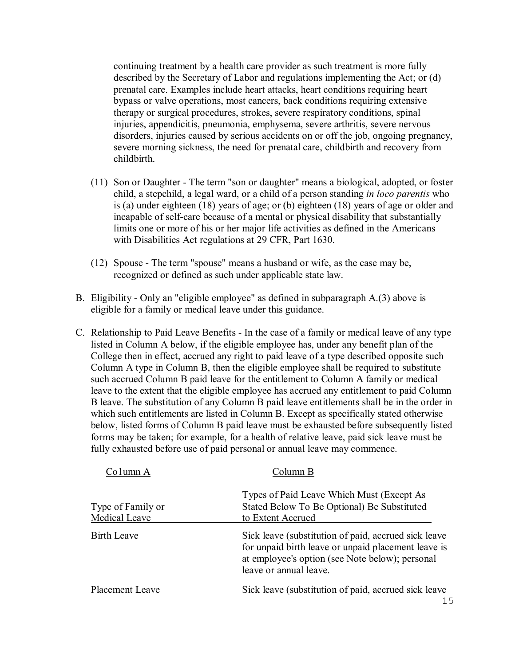continuing treatment by a health care provider as such treatment is more fully described by the Secretary of Labor and regulations implementing the Act; or (d) prenatal care. Examples include heart attacks, heart conditions requiring heart bypass or valve operations, most cancers, back conditions requiring extensive therapy or surgical procedures, strokes, severe respiratory conditions, spinal injuries, appendicitis, pneumonia, emphysema, severe arthritis, severe nervous disorders, injuries caused by serious accidents on or off the job, ongoing pregnancy, severe morning sickness, the need for prenatal care, childbirth and recovery from childbirth.

- (11) Son or Daughter The term "son or daughter" means a biological, adopted, or foster child, a stepchild, a legal ward, or a child of a person standing *in loco parentis* who is (a) under eighteen (18) years of age; or (b) eighteen (18) years of age or older and incapable of self-care because of a mental or physical disability that substantially limits one or more of his or her major life activities as defined in the Americans with Disabilities Act regulations at 29 CFR, Part 1630.
- (12) Spouse The term "spouse" means a husband or wife, as the case may be, recognized or defined as such under applicable state law.
- B. Eligibility Only an "eligible employee" as defined in subparagraph A.(3) above is eligible for a family or medical leave under this guidance.
- C. Relationship to Paid Leave Benefits In the case of a family or medical leave of any type listed in Column A below, if the eligible employee has, under any benefit plan of the College then in effect, accrued any right to paid leave of a type described opposite such Column A type in Column B, then the eligible employee shall be required to substitute such accrued Column B paid leave for the entitlement to Column A family or medical leave to the extent that the eligible employee has accrued any entitlement to paid Column B leave. The substitution of any Column B paid leave entitlements shall be in the order in which such entitlements are listed in Column B. Except as specifically stated otherwise below, listed forms of Column B paid leave must be exhausted before subsequently listed forms may be taken; for example, for a health of relative leave, paid sick leave must be fully exhausted before use of paid personal or annual leave may commence.

| Column A                           | Column B                                                                                                                                                                                 |
|------------------------------------|------------------------------------------------------------------------------------------------------------------------------------------------------------------------------------------|
| Type of Family or<br>Medical Leave | Types of Paid Leave Which Must (Except As<br>Stated Below To Be Optional) Be Substituted<br>to Extent Accrued                                                                            |
| <b>Birth Leave</b>                 | Sick leave (substitution of paid, accrued sick leave<br>for unpaid birth leave or unpaid placement leave is<br>at employee's option (see Note below); personal<br>leave or annual leave. |
| Placement Leave                    | Sick leave (substitution of paid, accrued sick leave<br>1 C                                                                                                                              |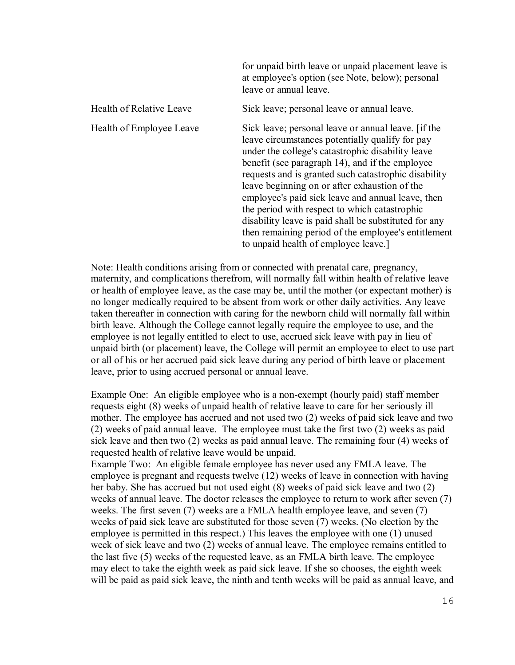|                          | for unpaid birth leave or unpaid placement leave is<br>at employee's option (see Note, below); personal<br>leave or annual leave.                                                                                                                                                                                                                                                                                                                                                                                                                                                     |
|--------------------------|---------------------------------------------------------------------------------------------------------------------------------------------------------------------------------------------------------------------------------------------------------------------------------------------------------------------------------------------------------------------------------------------------------------------------------------------------------------------------------------------------------------------------------------------------------------------------------------|
| Health of Relative Leave | Sick leave; personal leave or annual leave.                                                                                                                                                                                                                                                                                                                                                                                                                                                                                                                                           |
| Health of Employee Leave | Sick leave; personal leave or annual leave. [if the<br>leave circumstances potentially qualify for pay<br>under the college's catastrophic disability leave<br>benefit (see paragraph 14), and if the employee<br>requests and is granted such catastrophic disability<br>leave beginning on or after exhaustion of the<br>employee's paid sick leave and annual leave, then<br>the period with respect to which catastrophic<br>disability leave is paid shall be substituted for any<br>then remaining period of the employee's entitlement<br>to unpaid health of employee leave.] |

Note: Health conditions arising from or connected with prenatal care, pregnancy, maternity, and complications therefrom, will normally fall within health of relative leave or health of employee leave, as the case may be, until the mother (or expectant mother) is no longer medically required to be absent from work or other daily activities. Any leave taken thereafter in connection with caring for the newborn child will normally fall within birth leave. Although the College cannot legally require the employee to use, and the employee is not legally entitled to elect to use, accrued sick leave with pay in lieu of unpaid birth (or placement) leave, the College will permit an employee to elect to use part or all of his or her accrued paid sick leave during any period of birth leave or placement leave, prior to using accrued personal or annual leave.

Example One:An eligible employee who is a non-exempt (hourly paid) staff member requests eight (8) weeks of unpaid health of relative leave to care for her seriously ill mother. The employee has accrued and not used two (2) weeks of paid sick leave and two (2) weeks of paid annual leave. The employee must take the first two (2) weeks as paid sick leave and then two (2) weeks as paid annual leave. The remaining four (4) weeks of requested health of relative leave would be unpaid.

Example Two:An eligible female employee has never used any FMLA leave. The employee is pregnant and requests twelve (12) weeks of leave in connection with having her baby. She has accrued but not used eight (8) weeks of paid sick leave and two (2) weeks of annual leave. The doctor releases the employee to return to work after seven (7) weeks. The first seven (7) weeks are a FMLA health employee leave, and seven (7) weeks of paid sick leave are substituted for those seven (7) weeks. (No election by the employee is permitted in this respect.) This leaves the employee with one (1) unused week of sick leave and two (2) weeks of annual leave. The employee remains entitled to the last five (5) weeks of the requested leave, as an FMLA birth leave. The employee may elect to take the eighth week as paid sick leave. If she so chooses, the eighth week will be paid as paid sick leave, the ninth and tenth weeks will be paid as annual leave, and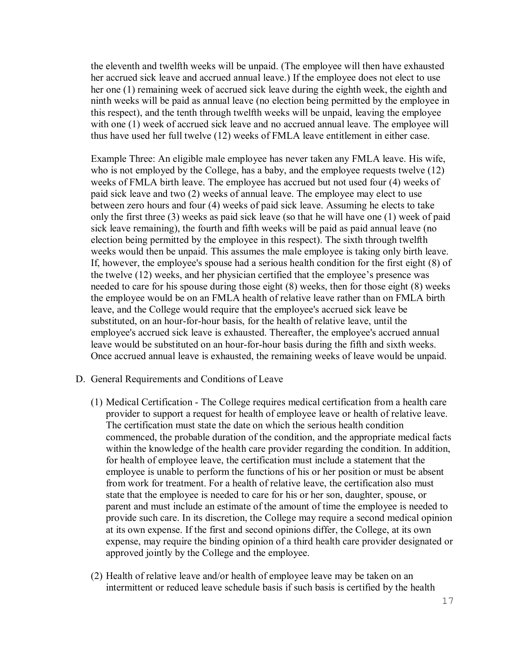the eleventh and twelfth weeks will be unpaid. (The employee will then have exhausted her accrued sick leave and accrued annual leave.) If the employee does not elect to use her one (1) remaining week of accrued sick leave during the eighth week, the eighth and ninth weeks will be paid as annual leave (no election being permitted by the employee in this respect), and the tenth through twelfth weeks will be unpaid, leaving the employee with one (1) week of accrued sick leave and no accrued annual leave. The employee will thus have used her full twelve (12) weeks of FMLA leave entitlement in either case.

Example Three: An eligible male employee has never taken any FMLA leave. His wife, who is not employed by the College, has a baby, and the employee requests twelve (12) weeks of FMLA birth leave. The employee has accrued but not used four (4) weeks of paid sick leave and two (2) weeks of annual leave. The employee may elect to use between zero hours and four (4) weeks of paid sick leave. Assuming he elects to take only the first three (3) weeks as paid sick leave (so that he will have one (1) week of paid sick leave remaining), the fourth and fifth weeks will be paid as paid annual leave (no election being permitted by the employee in this respect). The sixth through twelfth weeks would then be unpaid. This assumes the male employee is taking only birth leave. If, however, the employee's spouse had a serious health condition for the first eight (8) of the twelve (12) weeks, and her physician certified that the employee's presence was needed to care for his spouse during those eight (8) weeks, then for those eight (8) weeks the employee would be on an FMLA health of relative leave rather than on FMLA birth leave, and the College would require that the employee's accrued sick leave be substituted, on an hour-for-hour basis, for the health of relative leave, until the employee's accrued sick leave is exhausted. Thereafter, the employee's accrued annual leave would be substituted on an hour-for-hour basis during the fifth and sixth weeks. Once accrued annual leave is exhausted, the remaining weeks of leave would be unpaid.

- D. General Requirements and Conditions of Leave
	- (1) Medical Certification The College requires medical certification from a health care provider to support a request for health of employee leave or health of relative leave. The certification must state the date on which the serious health condition commenced, the probable duration of the condition, and the appropriate medical facts within the knowledge of the health care provider regarding the condition. In addition, for health of employee leave, the certification must include a statement that the employee is unable to perform the functions of his or her position or must be absent from work for treatment. For a health of relative leave, the certification also must state that the employee is needed to care for his or her son, daughter, spouse, or parent and must include an estimate of the amount of time the employee is needed to provide such care. In its discretion, the College may require a second medical opinion at its own expense. If the first and second opinions differ, the College, at its own expense, may require the binding opinion of a third health care provider designated or approved jointly by the College and the employee.
	- (2) Health of relative leave and/or health of employee leave may be taken on an intermittent or reduced leave schedule basis if such basis is certified by the health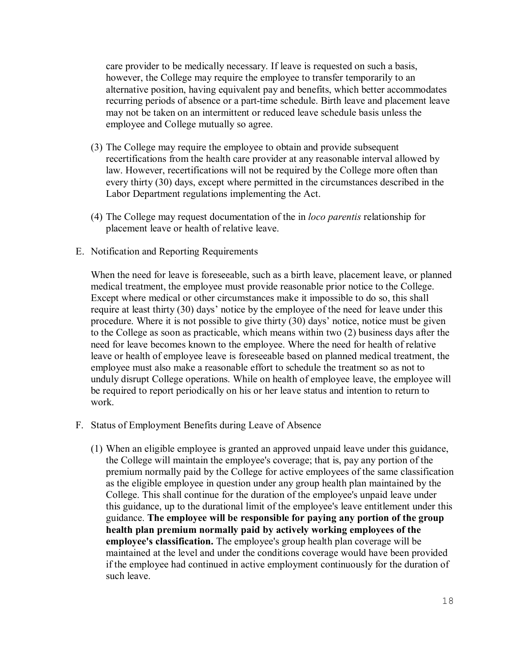care provider to be medically necessary. If leave is requested on such a basis, however, the College may require the employee to transfer temporarily to an alternative position, having equivalent pay and benefits, which better accommodates recurring periods of absence or a part-time schedule. Birth leave and placement leave may not be taken on an intermittent or reduced leave schedule basis unless the employee and College mutually so agree.

- (3) The College may require the employee to obtain and provide subsequent recertifications from the health care provider at any reasonable interval allowed by law. However, recertifications will not be required by the College more often than every thirty (30) days, except where permitted in the circumstances described in the Labor Department regulations implementing the Act.
- (4) The College may request documentation of the in *loco parentis* relationship for placement leave or health of relative leave.
- E. Notification and Reporting Requirements

When the need for leave is foreseeable, such as a birth leave, placement leave, or planned medical treatment, the employee must provide reasonable prior notice to the College. Except where medical or other circumstances make it impossible to do so, this shall require at least thirty (30) days' notice by the employee of the need for leave under this procedure. Where it is not possible to give thirty (30) days' notice, notice must be given to the College as soon as practicable, which means within two (2) business days after the need for leave becomes known to the employee. Where the need for health of relative leave or health of employee leave is foreseeable based on planned medical treatment, the employee must also make a reasonable effort to schedule the treatment so as not to unduly disrupt College operations. While on health of employee leave, the employee will be required to report periodically on his or her leave status and intention to return to work.

- F. Status of Employment Benefits during Leave of Absence
	- (1) When an eligible employee is granted an approved unpaid leave under this guidance, the College will maintain the employee's coverage; that is, pay any portion of the premium normally paid by the College for active employees of the same classification as the eligible employee in question under any group health plan maintained by the College. This shall continue for the duration of the employee's unpaid leave under this guidance, up to the durational limit of the employee's leave entitlement under this guidance. **The employee will be responsible for paying any portion of the group health plan premium normally paid by actively working employees of the employee's classification.** The employee's group health plan coverage will be maintained at the level and under the conditions coverage would have been provided if the employee had continued in active employment continuously for the duration of such leave.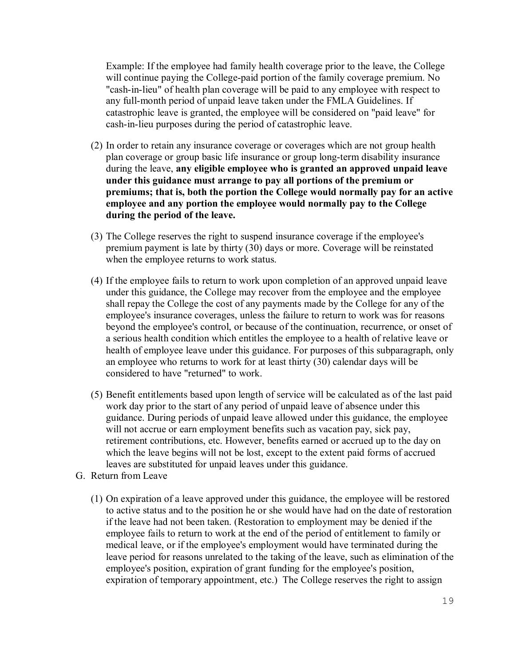Example: If the employee had family health coverage prior to the leave, the College will continue paying the College-paid portion of the family coverage premium. No "cash-in-lieu" of health plan coverage will be paid to any employee with respect to any full-month period of unpaid leave taken under the FMLA Guidelines. If catastrophic leave is granted, the employee will be considered on "paid leave" for cash-in-lieu purposes during the period of catastrophic leave.

- (2) In order to retain any insurance coverage or coverages which are not group health plan coverage or group basic life insurance or group long-term disability insurance during the leave, **any eligible employee who is granted an approved unpaid leave under this guidance must arrange to pay all portions of the premium or premiums; that is, both the portion the College would normally pay for an active employee and any portion the employee would normally pay to the College during the period of the leave.**
- (3) The College reserves the right to suspend insurance coverage if the employee's premium payment is late by thirty (30) days or more. Coverage will be reinstated when the employee returns to work status.
- (4) If the employee fails to return to work upon completion of an approved unpaid leave under this guidance, the College may recover from the employee and the employee shall repay the College the cost of any payments made by the College for any of the employee's insurance coverages, unless the failure to return to work was for reasons beyond the employee's control, or because of the continuation, recurrence, or onset of a serious health condition which entitles the employee to a health of relative leave or health of employee leave under this guidance. For purposes of this subparagraph, only an employee who returns to work for at least thirty (30) calendar days will be considered to have "returned" to work.
- (5) Benefit entitlements based upon length of service will be calculated as of the last paid work day prior to the start of any period of unpaid leave of absence under this guidance. During periods of unpaid leave allowed under this guidance, the employee will not accrue or earn employment benefits such as vacation pay, sick pay, retirement contributions, etc. However, benefits earned or accrued up to the day on which the leave begins will not be lost, except to the extent paid forms of accrued leaves are substituted for unpaid leaves under this guidance.
- G. Return from Leave
	- (1) On expiration of a leave approved under this guidance, the employee will be restored to active status and to the position he or she would have had on the date of restoration if the leave had not been taken. (Restoration to employment may be denied if the employee fails to return to work at the end of the period of entitlement to family or medical leave, or if the employee's employment would have terminated during the leave period for reasons unrelated to the taking of the leave, such as elimination of the employee's position, expiration of grant funding for the employee's position, expiration of temporary appointment, etc.) The College reserves the right to assign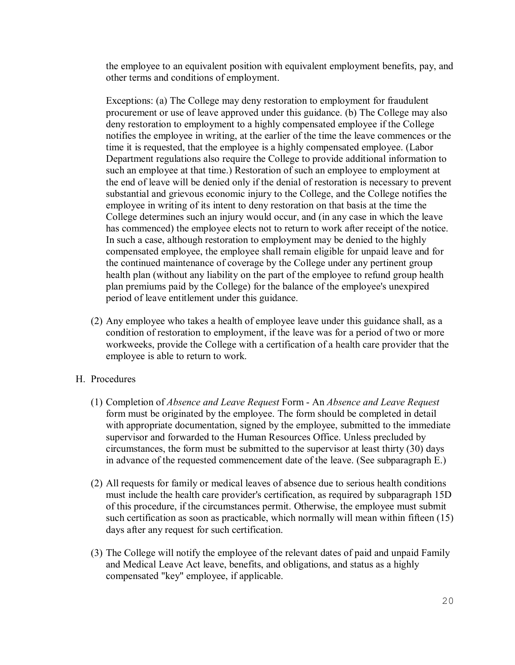the employee to an equivalent position with equivalent employment benefits, pay, and other terms and conditions of employment.

Exceptions: (a) The College may deny restoration to employment for fraudulent procurement or use of leave approved under this guidance. (b) The College may also deny restoration to employment to a highly compensated employee if the College notifies the employee in writing, at the earlier of the time the leave commences or the time it is requested, that the employee is a highly compensated employee. (Labor Department regulations also require the College to provide additional information to such an employee at that time.) Restoration of such an employee to employment at the end of leave will be denied only if the denial of restoration is necessary to prevent substantial and grievous economic injury to the College, and the College notifies the employee in writing of its intent to deny restoration on that basis at the time the College determines such an injury would occur, and (in any case in which the leave has commenced) the employee elects not to return to work after receipt of the notice. In such a case, although restoration to employment may be denied to the highly compensated employee, the employee shall remain eligible for unpaid leave and for the continued maintenance of coverage by the College under any pertinent group health plan (without any liability on the part of the employee to refund group health plan premiums paid by the College) for the balance of the employee's unexpired period of leave entitlement under this guidance.

(2) Any employee who takes a health of employee leave under this guidance shall, as a condition of restoration to employment, if the leave was for a period of two or more workweeks, provide the College with a certification of a health care provider that the employee is able to return to work.

# H. Procedures

- (1) Completion of *Absence and Leave Request* Form An *Absence and Leave Request*  form must be originated by the employee. The form should be completed in detail with appropriate documentation, signed by the employee, submitted to the immediate supervisor and forwarded to the Human Resources Office. Unless precluded by circumstances, the form must be submitted to the supervisor at least thirty (30) days in advance of the requested commencement date of the leave. (See subparagraph E.)
- (2) All requests for family or medical leaves of absence due to serious health conditions must include the health care provider's certification, as required by subparagraph 15D of this procedure, if the circumstances permit. Otherwise, the employee must submit such certification as soon as practicable, which normally will mean within fifteen (15) days after any request for such certification.
- (3) The College will notify the employee of the relevant dates of paid and unpaid Family and Medical Leave Act leave, benefits, and obligations, and status as a highly compensated "key" employee, if applicable.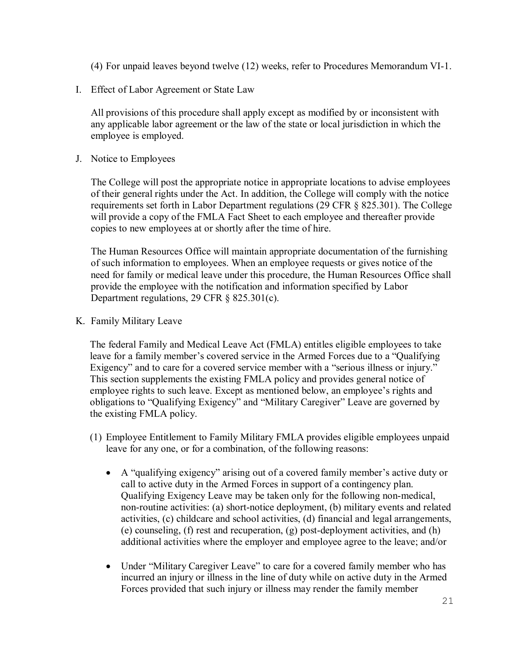(4) For unpaid leaves beyond twelve (12) weeks, refer to Procedures Memorandum VI-1.

I. Effect of Labor Agreement or State Law

All provisions of this procedure shall apply except as modified by or inconsistent with any applicable labor agreement or the law of the state or local jurisdiction in which the employee is employed.

J. Notice to Employees

The College will post the appropriate notice in appropriate locations to advise employees of their general rights under the Act. In addition, the College will comply with the notice requirements set forth in Labor Department regulations (29 CFR § 825.301). The College will provide a copy of the FMLA Fact Sheet to each employee and thereafter provide copies to new employees at or shortly after the time of hire.

The Human Resources Office will maintain appropriate documentation of the furnishing of such information to employees. When an employee requests or gives notice of the need for family or medical leave under this procedure, the Human Resources Office shall provide the employee with the notification and information specified by Labor Department regulations, 29 CFR § 825.301(c).

K. Family Military Leave

The federal Family and Medical Leave Act (FMLA) entitles eligible employees to take leave for a family member's covered service in the Armed Forces due to a "Qualifying Exigency" and to care for a covered service member with a "serious illness or injury." This section supplements the existing FMLA policy and provides general notice of employee rights to such leave. Except as mentioned below, an employee's rights and obligations to "Qualifying Exigency" and "Military Caregiver" Leave are governed by the existing FMLA policy.

- (1) Employee Entitlement to Family Military FMLA provides eligible employees unpaid leave for any one, or for a combination, of the following reasons:
	- A "qualifying exigency" arising out of a covered family member's active duty or call to active duty in the Armed Forces in support of a contingency plan. Qualifying Exigency Leave may be taken only for the following non-medical, non-routine activities: (a) short-notice deployment, (b) military events and related activities, (c) childcare and school activities, (d) financial and legal arrangements, (e) counseling, (f) rest and recuperation, (g) post-deployment activities, and (h) additional activities where the employer and employee agree to the leave; and/or
	- Under "Military Caregiver Leave" to care for a covered family member who has incurred an injury or illness in the line of duty while on active duty in the Armed Forces provided that such injury or illness may render the family member